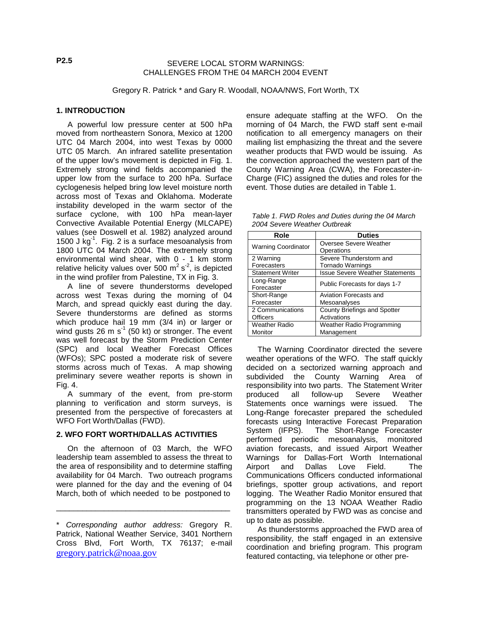SEVERE LOCAL STORM WARNINGS: CHALLENGES FROM THE 04 MARCH 2004 EVENT

Gregory R. Patrick \* and Gary R. Woodall, NOAA/NWS, Fort Worth, TX

### **1. INTRODUCTION**

A powerful low pressure center at 500 hPa moved from northeastern Sonora, Mexico at 1200 UTC 04 March 2004, into west Texas by 0000 UTC 05 March. An infrared satellite presentation of the upper low's movement is depicted in Fig. 1. Extremely strong wind fields accompanied the upper low from the surface to 200 hPa. Surface cyclogenesis helped bring low level moisture north across most of Texas and Oklahoma. Moderate instability developed in the warm sector of the surface cyclone, with 100 hPa mean-layer Convective Available Potential Energy (MLCAPE) values (see Doswell et al. 1982) analyzed around 1500 J kg<sup>-1</sup>. Fig. 2 is a surface mesoanalysis from 1800 UTC 04 March 2004. The extremely strong environmental wind shear, with 0 - 1 km storm relative helicity values over 500  $m^2 s^2$ , is depicted in the wind profiler from Palestine, TX in Fig. 3.

A line of severe thunderstorms developed across west Texas during the morning of 04 March, and spread quickly east during the day. Severe thunderstorms are defined as storms which produce hail 19 mm (3/4 in) or larger or wind gusts 26 m  $s<sup>-1</sup>$  (50 kt) or stronger. The event was well forecast by the Storm Prediction Center (SPC) and local Weather Forecast Offices (WFOs); SPC posted a moderate risk of severe storms across much of Texas. A map showing preliminary severe weather reports is shown in Fig. 4.

A summary of the event, from pre-storm planning to verification and storm surveys, is presented from the perspective of forecasters at WFO Fort Worth/Dallas (FWD).

# **2. WFO FORT WORTH/DALLAS ACTIVITIES**

On the afternoon of 03 March, the WFO leadership team assembled to assess the threat to the area of responsibility and to determine staffing availability for 04 March. Two outreach programs were planned for the day and the evening of 04 March, both of which needed to be postponed to

\_\_\_\_\_\_\_\_\_\_\_\_\_\_\_\_\_\_\_\_\_\_\_\_\_\_\_\_\_\_\_\_\_\_\_\_\_\_\_\_

ensure adequate staffing at the WFO. On the morning of 04 March, the FWD staff sent e-mail notification to all emergency managers on their mailing list emphasizing the threat and the severe weather products that FWD would be issuing. As the convection approached the western part of the County Warning Area (CWA), the Forecaster-in-Charge (FIC) assigned the duties and roles for the event. Those duties are detailed in Table 1.

*Table 1. FWD Roles and Duties during the 04 March 2004 Severe Weather Outbreak*

| Role                       | <b>Duties</b>                          |  |
|----------------------------|----------------------------------------|--|
| <b>Warning Coordinator</b> | Oversee Severe Weather                 |  |
|                            | Operations                             |  |
| 2 Warning                  | Severe Thunderstorm and                |  |
| Forecasters                | <b>Tornado Warnings</b>                |  |
| <b>Statement Writer</b>    | <b>Issue Severe Weather Statements</b> |  |
| Long-Range                 | Public Forecasts for days 1-7          |  |
| Forecaster                 |                                        |  |
| Short-Range                | Aviation Forecasts and                 |  |
| Forecaster                 | Mesoanalyses                           |  |
| 2 Communications           | County Briefings and Spotter           |  |
| <b>Officers</b>            | Activations                            |  |
| <b>Weather Radio</b>       | <b>Weather Radio Programming</b>       |  |
| Monitor                    | Management                             |  |

The Warning Coordinator directed the severe weather operations of the WFO. The staff quickly decided on a sectorized warning approach and subdivided the County Warning Area of responsibility into two parts. The Statement Writer produced all follow-up Severe Weather Statements once warnings were issued. The Long-Range forecaster prepared the scheduled forecasts using Interactive Forecast Preparation<br>System (IFPS). The Short-Range Forecaster The Short-Range Forecaster performed periodic mesoanalysis, monitored aviation forecasts, and issued Airport Weather Warnings for Dallas-Fort Worth International Airport and Dallas Love Field. The Communications Officers conducted informational briefings, spotter group activations, and report logging. The Weather Radio Monitor ensured that programming on the 13 NOAA Weather Radio transmitters operated by FWD was as concise and up to date as possible.

As thunderstorms approached the FWD area of responsibility, the staff engaged in an extensive coordination and briefing program. This program featured contacting, via telephone or other pre-

<sup>\*</sup> *Corresponding author address:* Gregory R. Patrick, National Weather Service, 3401 Northern Cross Blvd, Fort Worth, TX 76137; e-mail [gregory.patrick@noaa.gov](mailto:gregory.patrick@noaa.gov)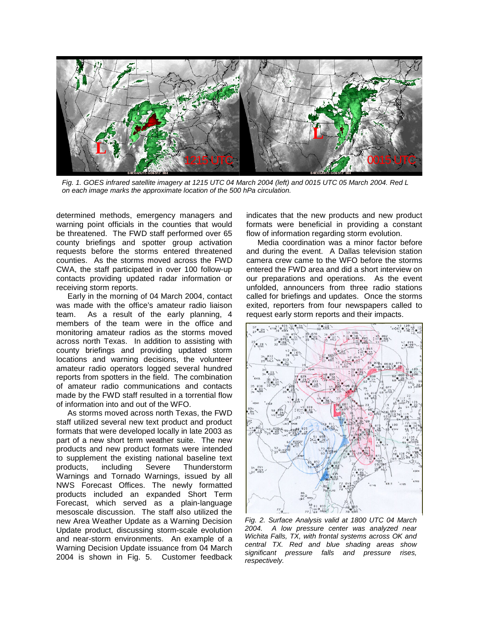

*Fig. 1. GOES infrared satellite imagery at 1215 UTC 04 March 2004 (left) and 0015 UTC 05 March 2004. Red L on each image marks the approximate location of the 500 hPa circulation.* 

determined methods, emergency managers and warning point officials in the counties that would be threatened. The FWD staff performed over 65 county briefings and spotter group activation requests before the storms entered threatened counties. As the storms moved across the FWD CWA, the staff participated in over 100 follow-up contacts providing updated radar information or receiving storm reports.

Early in the morning of 04 March 2004, contact was made with the office's amateur radio liaison team. As a result of the early planning, 4 members of the team were in the office and monitoring amateur radios as the storms moved across north Texas. In addition to assisting with county briefings and providing updated storm locations and warning decisions, the volunteer amateur radio operators logged several hundred reports from spotters in the field. The combination of amateur radio communications and contacts made by the FWD staff resulted in a torrential flow of information into and out of the WFO.

As storms moved across north Texas, the FWD staff utilized several new text product and product formats that were developed locally in late 2003 as part of a new short term weather suite. The new products and new product formats were intended to supplement the existing national baseline text products, including Severe Thunderstorm Warnings and Tornado Warnings, issued by all NWS Forecast Offices. The newly formatted products included an expanded Short Term Forecast, which served as a plain-language mesoscale discussion. The staff also utilized the new Area Weather Update as a Warning Decision Update product, discussing storm-scale evolution and near-storm environments. An example of a Warning Decision Update issuance from 04 March 2004 is shown in Fig. 5. Customer feedback

indicates that the new products and new product formats were beneficial in providing a constant flow of information regarding storm evolution.

Media coordination was a minor factor before and during the event. A Dallas television station camera crew came to the WFO before the storms entered the FWD area and did a short interview on our preparations and operations. As the event unfolded, announcers from three radio stations called for briefings and updates. Once the storms exited, reporters from four newspapers called to request early storm reports and their impacts.



*Fig. 2. Surface Analysis valid at 1800 UTC 04 March 2004. A low pressure center was analyzed near Wichita Falls, TX, with frontal systems across OK and central TX. Red and blue shading areas show significant pressure falls and pressure rises, respectively.*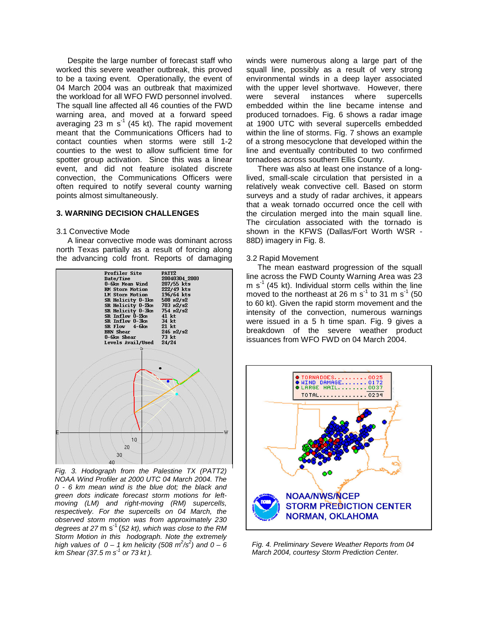Despite the large number of forecast staff who worked this severe weather outbreak, this proved to be a taxing event. Operationally, the event of 04 March 2004 was an outbreak that maximized the workload for all WFO FWD personnel involved. The squall line affected all 46 counties of the FWD warning area, and moved at a forward speed averaging 23 m  $s<sup>-1</sup>$  (45 kt). The rapid movement meant that the Communications Officers had to contact counties when storms were still 1-2 counties to the west to allow sufficient time for spotter group activation. Since this was a linear event, and did not feature isolated discrete convection, the Communications Officers were often required to notify several county warning points almost simultaneously.

## **3. WARNING DECISION CHALLENGES**

#### 3.1 Convective Mode

A linear convective mode was dominant across north Texas partially as a result of forcing along the advancing cold front. Reports of damaging



*Fig. 3. Hodograph from the Palestine TX (PATT2) NOAA Wind Profiler at 2000 UTC 04 March 2004. The 0 - 6 km mean wind is the blue dot; the black and green dots indicate forecast storm motions for leftmoving (LM) and right-moving (RM) supercells, respectively. For the supercells on 04 March, the observed storm motion was from approximately 230 degrees at 27* m s-1 (*52 kt), which was close to the RM Storm Motion in this hodograph. Note the extremely high values of 0 – 1 km helicity (508 m<sup>2</sup>/s<sup>2</sup>) and 0 – 6 km Shear (37.5 m s -1 or 73 kt ).* 

winds were numerous along a large part of the squall line, possibly as a result of very strong environmental winds in a deep layer associated with the upper level shortwave. However, there were several instances where supercells embedded within the line became intense and produced tornadoes. Fig. 6 shows a radar image at 1900 UTC with several supercells embedded within the line of storms. Fig. 7 shows an example of a strong mesocyclone that developed within the line and eventually contributed to two confirmed tornadoes across southern Ellis County.

There was also at least one instance of a longlived, small-scale circulation that persisted in a relatively weak convective cell. Based on storm surveys and a study of radar archives, it appears that a weak tornado occurred once the cell with the circulation merged into the main squall line. The circulation associated with the tornado is shown in the KFWS (Dallas/Fort Worth WSR - 88D) imagery in Fig. 8.

## 3.2 Rapid Movement

The mean eastward progression of the squall line across the FWD County Warning Area was 23 m  $s^{-1}$  (45 kt). Individual storm cells within the line moved to the northeast at 26 m s<sup>-1</sup> to 31 m s<sup>-1</sup> (50 to 60 kt). Given the rapid storm movement and the intensity of the convection, numerous warnings were issued in a 5 h time span. Fig. 9 gives a breakdown of the severe weather product issuances from WFO FWD on 04 March 2004.



*Fig. 4. Preliminary Severe Weather Reports from 04 March 2004, courtesy Storm Prediction Center.*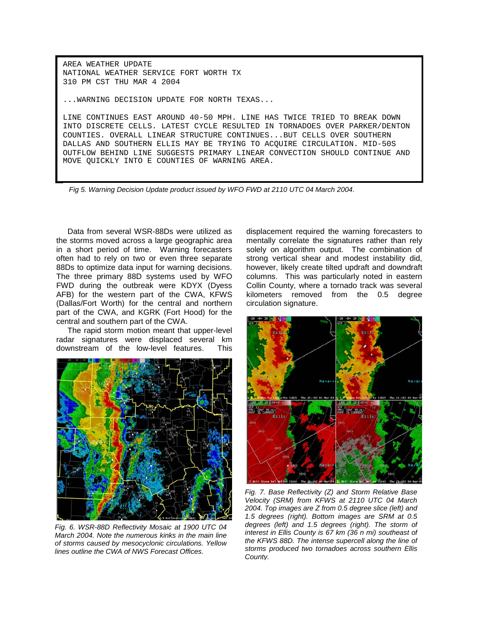AREA WEATHER UPDATE NATIONAL WEATHER SERVICE FORT WORTH TX 310 PM CST THU MAR 4 2004

...WARNING DECISION UPDATE FOR NORTH TEXAS...

LINE CONTINUES EAST AROUND 40-50 MPH. LINE HAS TWICE TRIED TO BREAK DOWN INTO DISCRETE CELLS. LATEST CYCLE RESULTED IN TORNADOES OVER PARKER/DENTON COUNTIES. OVERALL LINEAR STRUCTURE CONTINUES...BUT CELLS OVER SOUTHERN DALLAS AND SOUTHERN ELLIS MAY BE TRYING TO ACQUIRE CIRCULATION. MID-50S OUTFLOW BEHIND LINE SUGGESTS PRIMARY LINEAR CONVECTION SHOULD CONTINUE AND MOVE QUICKLY INTO E COUNTIES OF WARNING AREA.

*Fig 5. Warning Decision Update product issued by WFO FWD at 2110 UTC 04 March 2004*.

Data from several WSR-88Ds were utilized as the storms moved across a large geographic area in a short period of time. Warning forecasters often had to rely on two or even three separate 88Ds to optimize data input for warning decisions. The three primary 88D systems used by WFO FWD during the outbreak were KDYX (Dyess AFB) for the western part of the CWA, KFWS (Dallas/Fort Worth) for the central and northern part of the CWA, and KGRK (Fort Hood) for the central and southern part of the CWA.

The rapid storm motion meant that upper-level radar signatures were displaced several km downstream of the low-level features. This



*Fig. 6. WSR-88D Reflectivity Mosaic at 1900 UTC 04 March 2004. Note the numerous kinks in the main line of storms caused by mesocyclonic circulations. Yellow lines outline the CWA of NWS Forecast Offices.* 

displacement required the warning forecasters to mentally correlate the signatures rather than rely solely on algorithm output. The combination of strong vertical shear and modest instability did, however, likely create tilted updraft and downdraft columns. This was particularly noted in eastern Collin County, where a tornado track was several kilometers removed from the 0.5 degree circulation signature.



*Fig. 7. Base Reflectivity (Z) and Storm Relative Base Velocity (SRM) from KFWS at 2110 UTC 04 March 2004. Top images are Z from 0.5 degree slice (left) and 1.5 degrees (right). Bottom images are SRM at 0.5 degrees (left) and 1.5 degrees (right). The storm of interest in Ellis County is 67 km (36 n mi) southeast of the KFWS 88D. The intense supercell along the line of storms produced two tornadoes across southern Ellis County.*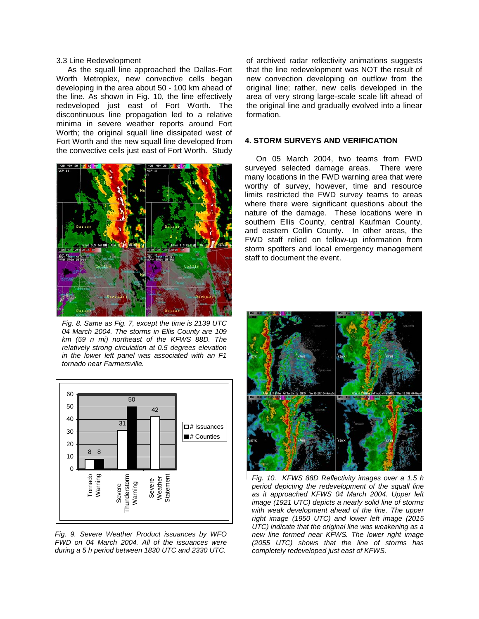## 3.3 Line Redevelopment

As the squall line approached the Dallas-Fort Worth Metroplex, new convective cells began developing in the area about 50 - 100 km ahead of the line. As shown in Fig. 10, the line effectively redeveloped just east of Fort Worth. The discontinuous line propagation led to a relative minima in severe weather reports around Fort Worth; the original squall line dissipated west of Fort Worth and the new squall line developed from the convective cells just east of Fort Worth. Study



*Fig. 8. Same as Fig. 7, except the time is 2139 UTC 04 March 2004. The storms in Ellis County are 109 km (59 n mi) northeast of the KFWS 88D. The relatively strong circulation at 0.5 degrees elevation in the lower left panel was associated with an F1 tornado near Farmersville.* 



*Fig. 9. Severe Weather Product issuances by WFO FWD on 04 March 2004. All of the issuances were during a 5 h period between 1830 UTC and 2330 UTC.*

of archived radar reflectivity animations suggests that the line redevelopment was NOT the result of new convection developing on outflow from the original line; rather, new cells developed in the area of very strong large-scale scale lift ahead of the original line and gradually evolved into a linear formation.

## **4. STORM SURVEYS AND VERIFICATION**

On 05 March 2004, two teams from FWD surveyed selected damage areas. There were many locations in the FWD warning area that were worthy of survey, however, time and resource limits restricted the FWD survey teams to areas where there were significant questions about the nature of the damage. These locations were in southern Ellis County, central Kaufman County, and eastern Collin County. In other areas, the FWD staff relied on follow-up information from storm spotters and local emergency management staff to document the event.



*Fig. 10. KFWS 88D Reflectivity images over a 1.5 h period depicting the redevelopment of the squall line as it approached KFWS 04 March 2004. Upper left image (1921 UTC) depicts a nearly solid line of storms with weak development ahead of the line. The upper right image (1950 UTC) and lower left image (2015 UTC) indicate that the original line was weakening as a new line formed near KFWS. The lower right image (2055 UTC) shows that the line of storms has completely redeveloped just east of KFWS.*